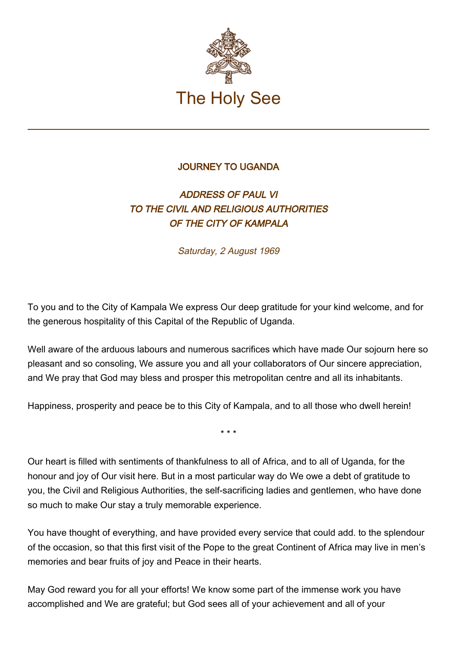

## JOURNEY TO UGANDA

## ADDRESS OF PAUL VI TO THE CIVIL AND RELIGIOUS AUTHORITIES OF THE CITY OF KAMPALA

Saturday, 2 August 1969

To you and to the City of Kampala We express Our deep gratitude for your kind welcome, and for the generous hospitality of this Capital of the Republic of Uganda.

Well aware of the arduous labours and numerous sacrifices which have made Our sojourn here so pleasant and so consoling, We assure you and all your collaborators of Our sincere appreciation, and We pray that God may bless and prosper this metropolitan centre and all its inhabitants.

Happiness, prosperity and peace be to this City of Kampala, and to all those who dwell herein!

\* \* \*

Our heart is filled with sentiments of thankfulness to all of Africa, and to all of Uganda, for the honour and joy of Our visit here. But in a most particular way do We owe a debt of gratitude to you, the Civil and Religious Authorities, the self-sacrificing ladies and gentlemen, who have done so much to make Our stay a truly memorable experience.

You have thought of everything, and have provided every service that could add. to the splendour of the occasion, so that this first visit of the Pope to the great Continent of Africa may live in men's memories and bear fruits of joy and Peace in their hearts.

May God reward you for all your efforts! We know some part of the immense work you have accomplished and We are grateful; but God sees all of your achievement and all of your